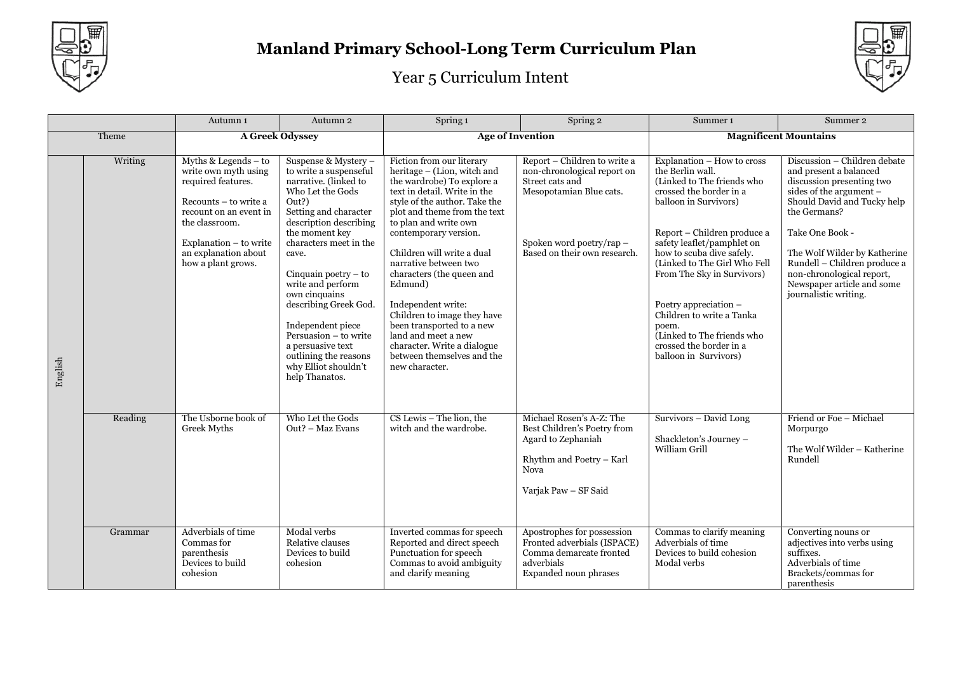



|         |         | Autumn 1                                                                                                                                                                                                          | Autumn 2                                                                                                                                                                                                                                                                                                                                                                                                                                    | Spring 1                                                                                                                                                                                                                                                                                                                                                                                                                                                                                                                         | Spring 2                                                                                                                                                              | Summer 1                                                                                                                                                                                                                                                                                                                                                                                                                                 | Summer 2                                                                                                                                                                                                                                                                                                                             |
|---------|---------|-------------------------------------------------------------------------------------------------------------------------------------------------------------------------------------------------------------------|---------------------------------------------------------------------------------------------------------------------------------------------------------------------------------------------------------------------------------------------------------------------------------------------------------------------------------------------------------------------------------------------------------------------------------------------|----------------------------------------------------------------------------------------------------------------------------------------------------------------------------------------------------------------------------------------------------------------------------------------------------------------------------------------------------------------------------------------------------------------------------------------------------------------------------------------------------------------------------------|-----------------------------------------------------------------------------------------------------------------------------------------------------------------------|------------------------------------------------------------------------------------------------------------------------------------------------------------------------------------------------------------------------------------------------------------------------------------------------------------------------------------------------------------------------------------------------------------------------------------------|--------------------------------------------------------------------------------------------------------------------------------------------------------------------------------------------------------------------------------------------------------------------------------------------------------------------------------------|
|         | Theme   |                                                                                                                                                                                                                   | A Greek Odyssey                                                                                                                                                                                                                                                                                                                                                                                                                             |                                                                                                                                                                                                                                                                                                                                                                                                                                                                                                                                  | <b>Age of Invention</b>                                                                                                                                               |                                                                                                                                                                                                                                                                                                                                                                                                                                          | <b>Magnificent Mountains</b>                                                                                                                                                                                                                                                                                                         |
| English | Writing | Myths & Legends $-$ to<br>write own myth using<br>required features.<br>Recounts - to write a<br>recount on an event in<br>the classroom.<br>Explanation - to write<br>an explanation about<br>how a plant grows. | Suspense & Mystery -<br>to write a suspenseful<br>narrative. (linked to<br>Who Let the Gods<br>Out?)<br>Setting and character<br>description describing<br>the moment key<br>characters meet in the<br>cave.<br>Cinquain poetry $-$ to<br>write and perform<br>own cinquains<br>describing Greek God.<br>Independent piece<br>Persuasion - to write<br>a persuasive text<br>outlining the reasons<br>why Elliot shouldn't<br>help Thanatos. | Fiction from our literary<br>heritage - (Lion, witch and<br>the wardrobe) To explore a<br>text in detail. Write in the<br>style of the author. Take the<br>plot and theme from the text<br>to plan and write own<br>contemporary version.<br>Children will write a dual<br>narrative between two<br>characters (the queen and<br>Edmund)<br>Independent write:<br>Children to image they have<br>been transported to a new<br>land and meet a new<br>character. Write a dialogue<br>between themselves and the<br>new character. | Report - Children to write a<br>non-chronological report on<br>Street cats and<br>Mesopotamian Blue cats.<br>Spoken word poetry/rap -<br>Based on their own research. | Explanation - How to cross<br>the Berlin wall.<br>(Linked to The friends who<br>crossed the border in a<br>balloon in Survivors)<br>Report – Children produce a<br>safety leaflet/pamphlet on<br>how to scuba dive safely.<br>(Linked to The Girl Who Fell<br>From The Sky in Survivors)<br>Poetry appreciation –<br>Children to write a Tanka<br>poem.<br>Linked to The friends who<br>crossed the border in a<br>balloon in Survivors) | Discussion - Children debate<br>and present a balanced<br>discussion presenting two<br>sides of the argument -<br>Should David and Tucky help<br>the Germans?<br>Take One Book -<br>The Wolf Wilder by Katherine<br>Rundell - Children produce a<br>non-chronological report,<br>Newspaper article and some<br>journalistic writing. |
|         | Reading | The Usborne book of<br>Greek Myths                                                                                                                                                                                | Who Let the Gods<br>Out? - Maz Evans                                                                                                                                                                                                                                                                                                                                                                                                        | $CS$ Lewis $-$ The lion, the<br>witch and the wardrobe.                                                                                                                                                                                                                                                                                                                                                                                                                                                                          | Michael Rosen's A-Z: The<br>Best Children's Poetry from<br>Agard to Zephaniah<br>Rhythm and Poetry - Karl<br>Nova<br>Varjak Paw - SF Said                             | Survivors - David Long<br>Shackleton's Journey -<br>William Grill                                                                                                                                                                                                                                                                                                                                                                        | Friend or Foe - Michael<br>Morpurgo<br>The Wolf Wilder - Katherine<br>Rundell                                                                                                                                                                                                                                                        |
|         | Grammar | Adverbials of time<br>Commas for<br>parenthesis<br>Devices to build<br>cohesion                                                                                                                                   | Modal verbs<br>Relative clauses<br>Devices to build<br>cohesion                                                                                                                                                                                                                                                                                                                                                                             | Inverted commas for speech<br>Reported and direct speech<br>Punctuation for speech<br>Commas to avoid ambiguity<br>and clarify meaning                                                                                                                                                                                                                                                                                                                                                                                           | Apostrophes for possession<br>Fronted adverbials (ISPACE)<br>Comma demarcate fronted<br>adverbials<br>Expanded noun phrases                                           | Commas to clarify meaning<br>Adverbials of time<br>Devices to build cohesion<br>Modal verbs                                                                                                                                                                                                                                                                                                                                              | Converting nouns or<br>adjectives into verbs using<br>suffixes.<br>Adverbials of time<br>Brackets/commas for<br>parenthesis                                                                                                                                                                                                          |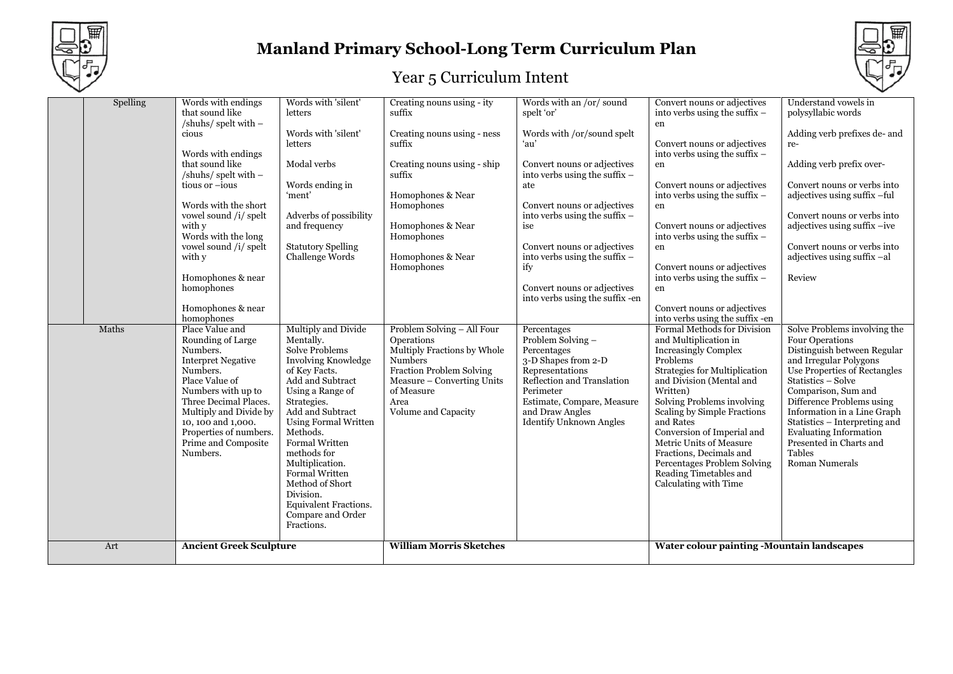



| $\checkmark$ |          |                                                                                                                                                                                                                                                                                                                                          |                                                                                                                                                                                                                                                                                                                                                                                                         |                                                                                                                                                                                                                                 |                                                                                                                                                                                                                                                                                                                                                                        |                                                                                                                                                                                                                                                                                                                                                                                                                                                             |                                                                                                                                                                                                                                                                                                                                                                            |
|--------------|----------|------------------------------------------------------------------------------------------------------------------------------------------------------------------------------------------------------------------------------------------------------------------------------------------------------------------------------------------|---------------------------------------------------------------------------------------------------------------------------------------------------------------------------------------------------------------------------------------------------------------------------------------------------------------------------------------------------------------------------------------------------------|---------------------------------------------------------------------------------------------------------------------------------------------------------------------------------------------------------------------------------|------------------------------------------------------------------------------------------------------------------------------------------------------------------------------------------------------------------------------------------------------------------------------------------------------------------------------------------------------------------------|-------------------------------------------------------------------------------------------------------------------------------------------------------------------------------------------------------------------------------------------------------------------------------------------------------------------------------------------------------------------------------------------------------------------------------------------------------------|----------------------------------------------------------------------------------------------------------------------------------------------------------------------------------------------------------------------------------------------------------------------------------------------------------------------------------------------------------------------------|
|              | Spelling | Words with endings<br>that sound like<br>/shuhs/ spelt with -<br>cious<br>Words with endings<br>that sound like<br>/shuhs/ spelt with $-$<br>tious or -ious<br>Words with the short<br>vowel sound /i/ spelt<br>with y<br>Words with the long<br>vowel sound /i/ spelt<br>with y<br>Homophones & near<br>homophones<br>Homophones & near | Words with 'silent'<br>letters<br>Words with 'silent'<br>letters<br>Modal verbs<br>Words ending in<br>'ment'<br>Adverbs of possibility<br>and frequency<br><b>Statutory Spelling</b><br>Challenge Words                                                                                                                                                                                                 | Creating nouns using - ity<br>suffix<br>Creating nouns using - ness<br>suffix<br>Creating nouns using - ship<br>suffix<br>Homophones & Near<br>Homophones<br>Homophones & Near<br>Homophones<br>Homophones & Near<br>Homophones | Words with an /or/ sound<br>spelt 'or'<br>Words with /or/sound spelt<br>ʻau'<br>Convert nouns or adjectives<br>into verbs using the suffix $-$<br>ate<br>Convert nouns or adjectives<br>into verbs using the suffix -<br>ise<br>Convert nouns or adjectives<br>into verbs using the suffix $-$<br>ify<br>Convert nouns or adjectives<br>into verbs using the suffix-en | Convert nouns or adjectives<br>into verbs using the suffix -<br>en<br>Convert nouns or adjectives<br>into verbs using the suffix -<br>en<br>Convert nouns or adjectives<br>into verbs using the suffix -<br>en<br>Convert nouns or adjectives<br>into verbs using the suffix -<br>en<br>Convert nouns or adjectives<br>into verbs using the suffix -<br>en<br>Convert nouns or adjectives                                                                   | Understand vowels in<br>polysyllabic words<br>Adding verb prefixes de- and<br>re-<br>Adding verb prefix over-<br>Convert nouns or verbs into<br>adjectives using suffix -ful<br>Convert nouns or verbs into<br>adjectives using suffix -ive<br>Convert nouns or verbs into<br>adjectives using suffix -al<br>Review                                                        |
|              | Maths    | homophones<br>Place Value and<br>Rounding of Large<br>Numbers.<br><b>Interpret Negative</b><br>Numbers.<br>Place Value of<br>Numbers with up to<br>Three Decimal Places.<br>Multiply and Divide by<br>10, 100 and 1,000.<br>Properties of numbers.<br>Prime and Composite<br>Numbers.                                                    | Multiply and Divide<br>Mentally.<br><b>Solve Problems</b><br>Involving Knowledge<br>of Key Facts.<br>Add and Subtract<br>Using a Range of<br>Strategies.<br>Add and Subtract<br><b>Using Formal Written</b><br>Methods.<br><b>Formal Written</b><br>methods for<br>Multiplication.<br>Formal Written<br>Method of Short<br>Division.<br><b>Equivalent Fractions.</b><br>Compare and Order<br>Fractions. | Problem Solving - All Four<br>Operations<br>Multiply Fractions by Whole<br><b>Numbers</b><br>Fraction Problem Solving<br>Measure - Converting Units<br>of Measure<br>Area<br>Volume and Capacity                                | Percentages<br>Problem Solving -<br>Percentages<br>3-D Shapes from 2-D<br>Representations<br>Reflection and Translation<br>Perimeter<br>Estimate, Compare, Measure<br>and Draw Angles<br><b>Identify Unknown Angles</b>                                                                                                                                                | into verbs using the suffix -en<br>Formal Methods for Division<br>and Multiplication in<br><b>Increasingly Complex</b><br>Problems<br>Strategies for Multiplication<br>and Division (Mental and<br>Written)<br>Solving Problems involving<br>Scaling by Simple Fractions<br>and Rates<br>Conversion of Imperial and<br>Metric Units of Measure<br>Fractions, Decimals and<br>Percentages Problem Solving<br>Reading Timetables and<br>Calculating with Time | Solve Problems involving the<br>Four Operations<br>Distinguish between Regular<br>and Irregular Polygons<br>Use Properties of Rectangles<br>Statistics - Solve<br>Comparison, Sum and<br>Difference Problems using<br>Information in a Line Graph<br>Statistics - Interpreting and<br><b>Evaluating Information</b><br>Presented in Charts and<br>Tables<br>Roman Numerals |
|              | Art      | <b>Ancient Greek Sculpture</b>                                                                                                                                                                                                                                                                                                           |                                                                                                                                                                                                                                                                                                                                                                                                         | <b>William Morris Sketches</b>                                                                                                                                                                                                  |                                                                                                                                                                                                                                                                                                                                                                        | Water colour painting -Mountain landscapes                                                                                                                                                                                                                                                                                                                                                                                                                  |                                                                                                                                                                                                                                                                                                                                                                            |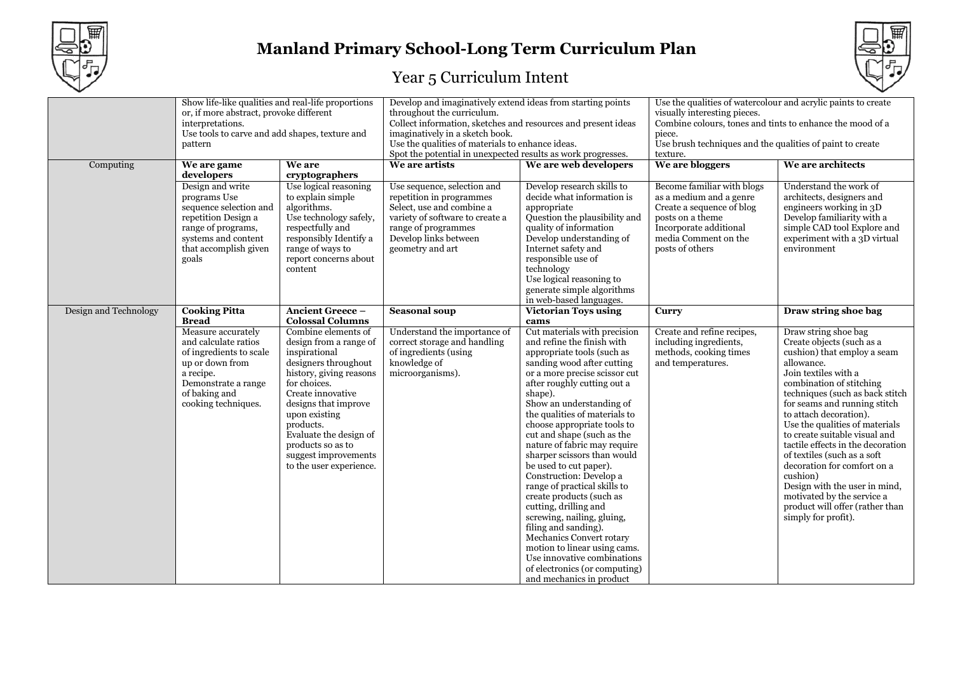



|                       | Show life-like qualities and real-life proportions<br>or, if more abstract, provoke different<br>interpretations.<br>Use tools to carve and add shapes, texture and<br>pattern |                                                                                                                                                                                                                                                                                                                | Develop and imaginatively extend ideas from starting points<br>throughout the curriculum.<br>Collect information, sketches and resources and present ideas<br>imaginatively in a sketch book.<br>Use the qualities of materials to enhance ideas.<br>Spot the potential in unexpected results as work progresses. |                                                                                                                                                                                                                                                                                                                                                                                                                                                                                                                                                                                                                                                                                                                                                    | Use the qualities of watercolour and acrylic paints to create<br>visually interesting pieces.<br>Combine colours, tones and tints to enhance the mood of a<br>piece.<br>Use brush techniques and the qualities of paint to create<br>texture. |                                                                                                                                                                                                                                                                                                                                                                                                                                                                                                                                                            |
|-----------------------|--------------------------------------------------------------------------------------------------------------------------------------------------------------------------------|----------------------------------------------------------------------------------------------------------------------------------------------------------------------------------------------------------------------------------------------------------------------------------------------------------------|-------------------------------------------------------------------------------------------------------------------------------------------------------------------------------------------------------------------------------------------------------------------------------------------------------------------|----------------------------------------------------------------------------------------------------------------------------------------------------------------------------------------------------------------------------------------------------------------------------------------------------------------------------------------------------------------------------------------------------------------------------------------------------------------------------------------------------------------------------------------------------------------------------------------------------------------------------------------------------------------------------------------------------------------------------------------------------|-----------------------------------------------------------------------------------------------------------------------------------------------------------------------------------------------------------------------------------------------|------------------------------------------------------------------------------------------------------------------------------------------------------------------------------------------------------------------------------------------------------------------------------------------------------------------------------------------------------------------------------------------------------------------------------------------------------------------------------------------------------------------------------------------------------------|
| Computing             | We are game<br>developers                                                                                                                                                      | We are<br>cryptographers                                                                                                                                                                                                                                                                                       | We are artists                                                                                                                                                                                                                                                                                                    | We are web developers                                                                                                                                                                                                                                                                                                                                                                                                                                                                                                                                                                                                                                                                                                                              | We are bloggers                                                                                                                                                                                                                               | We are architects                                                                                                                                                                                                                                                                                                                                                                                                                                                                                                                                          |
|                       | Design and write<br>programs Use<br>sequence selection and<br>repetition Design a<br>range of programs,<br>systems and content<br>that accomplish given<br>goals               | Use logical reasoning<br>to explain simple<br>algorithms.<br>Use technology safely,<br>respectfully and<br>responsibly Identify a<br>range of ways to<br>report concerns about<br>content                                                                                                                      | Use sequence, selection and<br>repetition in programmes<br>Select, use and combine a<br>variety of software to create a<br>range of programmes<br>Develop links between<br>geometry and art                                                                                                                       | Develop research skills to<br>decide what information is<br>appropriate<br>Question the plausibility and<br>quality of information<br>Develop understanding of<br>Internet safety and<br>responsible use of<br>technology<br>Use logical reasoning to<br>generate simple algorithms<br>in web-based languages.                                                                                                                                                                                                                                                                                                                                                                                                                                     | Become familiar with blogs<br>as a medium and a genre<br>Create a sequence of blog<br>posts on a theme<br>Incorporate additional<br>media Comment on the<br>posts of others                                                                   | Understand the work of<br>architects, designers and<br>engineers working in 3D<br>Develop familiarity with a<br>simple CAD tool Explore and<br>experiment with a 3D virtual<br>environment                                                                                                                                                                                                                                                                                                                                                                 |
| Design and Technology | <b>Cooking Pitta</b><br><b>Bread</b>                                                                                                                                           | <b>Ancient Greece -</b><br><b>Colossal Columns</b>                                                                                                                                                                                                                                                             | <b>Seasonal soup</b>                                                                                                                                                                                                                                                                                              | <b>Victorian Toys using</b><br>cams                                                                                                                                                                                                                                                                                                                                                                                                                                                                                                                                                                                                                                                                                                                | Curry                                                                                                                                                                                                                                         | Draw string shoe bag                                                                                                                                                                                                                                                                                                                                                                                                                                                                                                                                       |
|                       | Measure accurately<br>and calculate ratios<br>of ingredients to scale<br>up or down from<br>a recipe.<br>Demonstrate a range<br>of baking and<br>cooking techniques.           | Combine elements of<br>design from a range of<br>inspirational<br>designers throughout<br>history, giving reasons<br>for choices.<br>Create innovative<br>designs that improve<br>upon existing<br>products.<br>Evaluate the design of<br>products so as to<br>suggest improvements<br>to the user experience. | Understand the importance of<br>correct storage and handling<br>of ingredients (using<br>knowledge of<br>microorganisms).                                                                                                                                                                                         | Cut materials with precision<br>and refine the finish with<br>appropriate tools (such as<br>sanding wood after cutting<br>or a more precise scissor cut<br>after roughly cutting out a<br>shape).<br>Show an understanding of<br>the qualities of materials to<br>choose appropriate tools to<br>cut and shape (such as the<br>nature of fabric may require<br>sharper scissors than would<br>be used to cut paper).<br>Construction: Develop a<br>range of practical skills to<br>create products (such as<br>cutting, drilling and<br>screwing, nailing, gluing,<br>filing and sanding).<br>Mechanics Convert rotary<br>motion to linear using cams.<br>Use innovative combinations<br>of electronics (or computing)<br>and mechanics in product | Create and refine recipes,<br>including ingredients,<br>methods, cooking times<br>and temperatures.                                                                                                                                           | Draw string shoe bag<br>Create objects (such as a<br>cushion) that employ a seam<br>allowance.<br>Join textiles with a<br>combination of stitching<br>techniques (such as back stitch<br>for seams and running stitch<br>to attach decoration).<br>Use the qualities of materials<br>to create suitable visual and<br>tactile effects in the decoration<br>of textiles (such as a soft<br>decoration for comfort on a<br>cushion)<br>Design with the user in mind,<br>motivated by the service a<br>product will offer (rather than<br>simply for profit). |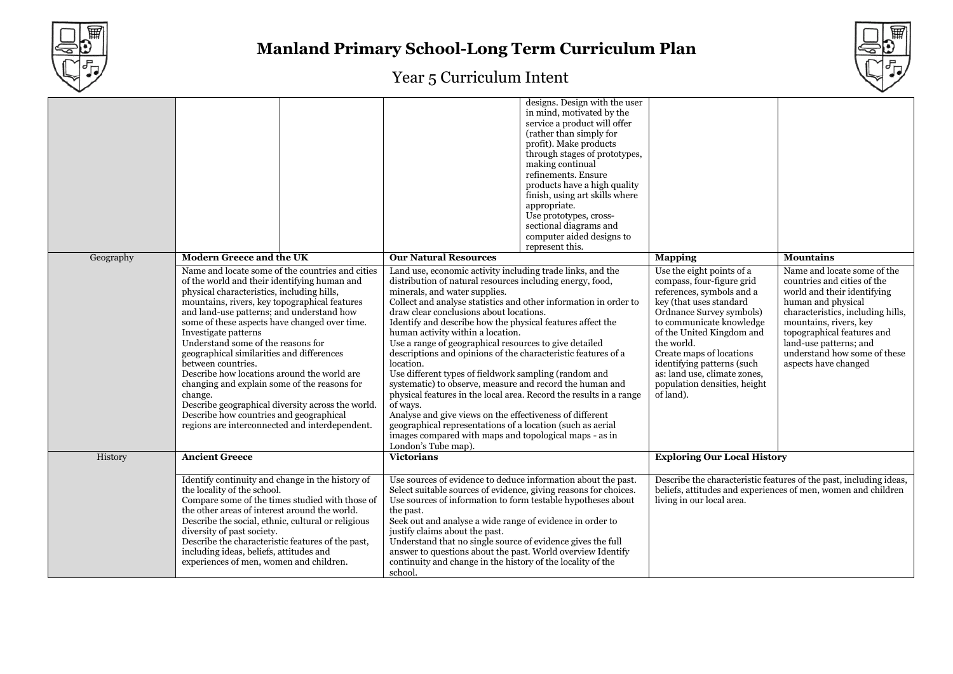



|                                  |                                                                                                                                                                                                                                                                                                                                                                                                                                                                                                                                                                                                                                                                                            | designs. Design with the user<br>in mind, motivated by the<br>service a product will offer<br>(rather than simply for<br>profit). Make products<br>through stages of prototypes,<br>making continual<br>refinements. Ensure<br>products have a high quality<br>finish, using art skills where<br>appropriate.<br>Use prototypes, cross-<br>sectional diagrams and<br>computer aided designs to<br>represent this.                                                                                                                                                                                                                                                                                                                                                                                                                                                                                                                    |                                                                                                                                                                                                                                                                                                                                                          |                                                                                                                                                                                                                                                                                                |
|----------------------------------|--------------------------------------------------------------------------------------------------------------------------------------------------------------------------------------------------------------------------------------------------------------------------------------------------------------------------------------------------------------------------------------------------------------------------------------------------------------------------------------------------------------------------------------------------------------------------------------------------------------------------------------------------------------------------------------------|--------------------------------------------------------------------------------------------------------------------------------------------------------------------------------------------------------------------------------------------------------------------------------------------------------------------------------------------------------------------------------------------------------------------------------------------------------------------------------------------------------------------------------------------------------------------------------------------------------------------------------------------------------------------------------------------------------------------------------------------------------------------------------------------------------------------------------------------------------------------------------------------------------------------------------------|----------------------------------------------------------------------------------------------------------------------------------------------------------------------------------------------------------------------------------------------------------------------------------------------------------------------------------------------------------|------------------------------------------------------------------------------------------------------------------------------------------------------------------------------------------------------------------------------------------------------------------------------------------------|
| Geography                        | <b>Modern Greece and the UK</b>                                                                                                                                                                                                                                                                                                                                                                                                                                                                                                                                                                                                                                                            | <b>Our Natural Resources</b>                                                                                                                                                                                                                                                                                                                                                                                                                                                                                                                                                                                                                                                                                                                                                                                                                                                                                                         | <b>Mapping</b>                                                                                                                                                                                                                                                                                                                                           | <b>Mountains</b>                                                                                                                                                                                                                                                                               |
|                                  | Name and locate some of the countries and cities<br>of the world and their identifying human and<br>physical characteristics, including hills,<br>mountains, rivers, key topographical features<br>and land-use patterns; and understand how<br>some of these aspects have changed over time.<br>Investigate patterns<br>Understand some of the reasons for<br>geographical similarities and differences<br>between countries.<br>Describe how locations around the world are<br>changing and explain some of the reasons for<br>change.<br>Describe geographical diversity across the world.<br>Describe how countries and geographical<br>regions are interconnected and interdependent. | Land use, economic activity including trade links, and the<br>distribution of natural resources including energy, food,<br>minerals, and water supplies.<br>Collect and analyse statistics and other information in order to<br>draw clear conclusions about locations.<br>Identify and describe how the physical features affect the<br>human activity within a location.<br>Use a range of geographical resources to give detailed<br>descriptions and opinions of the characteristic features of a<br>location.<br>Use different types of fieldwork sampling (random and<br>systematic) to observe, measure and record the human and<br>physical features in the local area. Record the results in a range<br>of ways.<br>Analyse and give views on the effectiveness of different<br>geographical representations of a location (such as aerial<br>images compared with maps and topological maps - as in<br>London's Tube map). | Use the eight points of a<br>compass, four-figure grid<br>references, symbols and a<br>key (that uses standard<br>Ordnance Survey symbols)<br>to communicate knowledge<br>of the United Kingdom and<br>the world.<br>Create maps of locations<br>identifying patterns (such<br>as: land use, climate zones,<br>population densities, height<br>of land). | Name and locate some of the<br>countries and cities of the<br>world and their identifying<br>human and physical<br>characteristics, including hills,<br>mountains, rivers, key<br>topographical features and<br>land-use patterns; and<br>understand how some of these<br>aspects have changed |
| <b>Ancient Greece</b><br>History |                                                                                                                                                                                                                                                                                                                                                                                                                                                                                                                                                                                                                                                                                            | <b>Victorians</b>                                                                                                                                                                                                                                                                                                                                                                                                                                                                                                                                                                                                                                                                                                                                                                                                                                                                                                                    | <b>Exploring Our Local History</b>                                                                                                                                                                                                                                                                                                                       |                                                                                                                                                                                                                                                                                                |
|                                  | Identify continuity and change in the history of<br>the locality of the school.<br>Compare some of the times studied with those of<br>the other areas of interest around the world.<br>Describe the social, ethnic, cultural or religious<br>diversity of past society.<br>Describe the characteristic features of the past,<br>including ideas, beliefs, attitudes and<br>experiences of men, women and children.                                                                                                                                                                                                                                                                         | Use sources of evidence to deduce information about the past.<br>Select suitable sources of evidence, giving reasons for choices.<br>Use sources of information to form testable hypotheses about<br>the past.<br>Seek out and analyse a wide range of evidence in order to<br>justify claims about the past.<br>Understand that no single source of evidence gives the full<br>answer to questions about the past. World overview Identify<br>continuity and change in the history of the locality of the<br>school.                                                                                                                                                                                                                                                                                                                                                                                                                | living in our local area.                                                                                                                                                                                                                                                                                                                                | Describe the characteristic features of the past, including ideas,<br>beliefs, attitudes and experiences of men, women and children                                                                                                                                                            |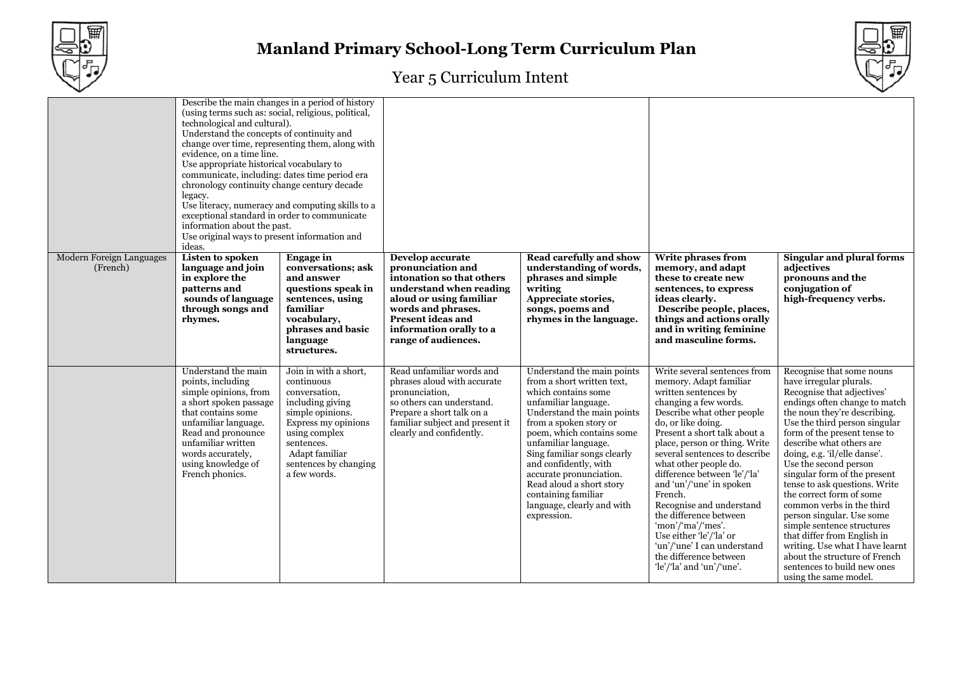



|                                      | Describe the main changes in a period of history<br>(using terms such as: social, religious, political,<br>technological and cultural).<br>Understand the concepts of continuity and<br>change over time, representing them, along with<br>evidence, on a time line.<br>Use appropriate historical vocabulary to<br>communicate, including: dates time period era<br>chronology continuity change century decade<br>legacy.<br>Use literacy, numeracy and computing skills to a<br>exceptional standard in order to communicate<br>information about the past.<br>Use original ways to present information and<br>ideas. |                                                                                                                                                                                                               |                                                                                                                                                                                                                              |                                                                                                                                                                                                                                                                                                                                                                                                         |                                                                                                                                                                                                                                                                                                                                                                                                                                                                                                                                                           |                                                                                                                                                                                                                                                                                                                                                                                                                                                                                                                                                                                                                                                           |
|--------------------------------------|--------------------------------------------------------------------------------------------------------------------------------------------------------------------------------------------------------------------------------------------------------------------------------------------------------------------------------------------------------------------------------------------------------------------------------------------------------------------------------------------------------------------------------------------------------------------------------------------------------------------------|---------------------------------------------------------------------------------------------------------------------------------------------------------------------------------------------------------------|------------------------------------------------------------------------------------------------------------------------------------------------------------------------------------------------------------------------------|---------------------------------------------------------------------------------------------------------------------------------------------------------------------------------------------------------------------------------------------------------------------------------------------------------------------------------------------------------------------------------------------------------|-----------------------------------------------------------------------------------------------------------------------------------------------------------------------------------------------------------------------------------------------------------------------------------------------------------------------------------------------------------------------------------------------------------------------------------------------------------------------------------------------------------------------------------------------------------|-----------------------------------------------------------------------------------------------------------------------------------------------------------------------------------------------------------------------------------------------------------------------------------------------------------------------------------------------------------------------------------------------------------------------------------------------------------------------------------------------------------------------------------------------------------------------------------------------------------------------------------------------------------|
| Modern Foreign Languages<br>(French) | <b>Listen to spoken</b><br>language and join<br>in explore the<br>patterns and<br>sounds of language<br>through songs and<br>rhymes.                                                                                                                                                                                                                                                                                                                                                                                                                                                                                     | <b>Engage</b> in<br>conversations; ask<br>and answer<br>questions speak in<br>sentences, using<br>familiar<br>vocabulary,<br>phrases and basic<br>language<br>structures.                                     | Develop accurate<br>pronunciation and<br>intonation so that others<br>understand when reading<br>aloud or using familiar<br>words and phrases.<br><b>Present ideas and</b><br>information orally to a<br>range of audiences. | <b>Read carefully and show</b><br>understanding of words,<br>phrases and simple<br>writing<br>Appreciate stories,<br>songs, poems and<br>rhymes in the language.                                                                                                                                                                                                                                        | Write phrases from<br>memory, and adapt<br>these to create new<br>sentences, to express<br>ideas clearly.<br>Describe people, places,<br>things and actions orally<br>and in writing feminine<br>and masculine forms.                                                                                                                                                                                                                                                                                                                                     | <b>Singular and plural forms</b><br>adjectives<br>pronouns and the<br>conjugation of<br>high-frequency verbs.                                                                                                                                                                                                                                                                                                                                                                                                                                                                                                                                             |
|                                      | Understand the main<br>points, including<br>simple opinions, from<br>a short spoken passage<br>that contains some<br>unfamiliar language.<br>Read and pronounce<br>unfamiliar written<br>words accurately,<br>using knowledge of<br>French phonics.                                                                                                                                                                                                                                                                                                                                                                      | Join in with a short,<br>continuous<br>conversation,<br>including giving<br>simple opinions.<br>Express my opinions<br>using complex<br>sentences.<br>Adapt familiar<br>sentences by changing<br>a few words. | Read unfamiliar words and<br>phrases aloud with accurate<br>pronunciation,<br>so others can understand.<br>Prepare a short talk on a<br>familiar subject and present it<br>clearly and confidently.                          | Understand the main points<br>from a short written text,<br>which contains some<br>unfamiliar language.<br>Understand the main points<br>from a spoken story or<br>poem, which contains some<br>unfamiliar language.<br>Sing familiar songs clearly<br>and confidently, with<br>accurate pronunciation.<br>Read aloud a short story<br>containing familiar<br>language, clearly and with<br>expression. | Write several sentences from<br>memory. Adapt familiar<br>written sentences by<br>changing a few words.<br>Describe what other people<br>do, or like doing.<br>Present a short talk about a<br>place, person or thing. Write<br>several sentences to describe<br>what other people do.<br>difference between 'le'/'la'<br>and 'un'/'une' in spoken<br>French.<br>Recognise and understand<br>the difference between<br>'mon'/'ma'/'mes'.<br>Use either 'le'/'la' or<br>'un'/'une' I can understand<br>the difference between<br>$le'/la'$ and 'un'/'une'. | Recognise that some nouns<br>have irregular plurals.<br>Recognise that adjectives'<br>endings often change to match<br>the noun they're describing.<br>Use the third person singular<br>form of the present tense to<br>describe what others are<br>doing, e.g. 'il/elle danse'.<br>Use the second person<br>singular form of the present<br>tense to ask questions. Write<br>the correct form of some<br>common verbs in the third<br>person singular. Use some<br>simple sentence structures<br>that differ from English in<br>writing. Use what I have learnt<br>about the structure of French<br>sentences to build new ones<br>using the same model. |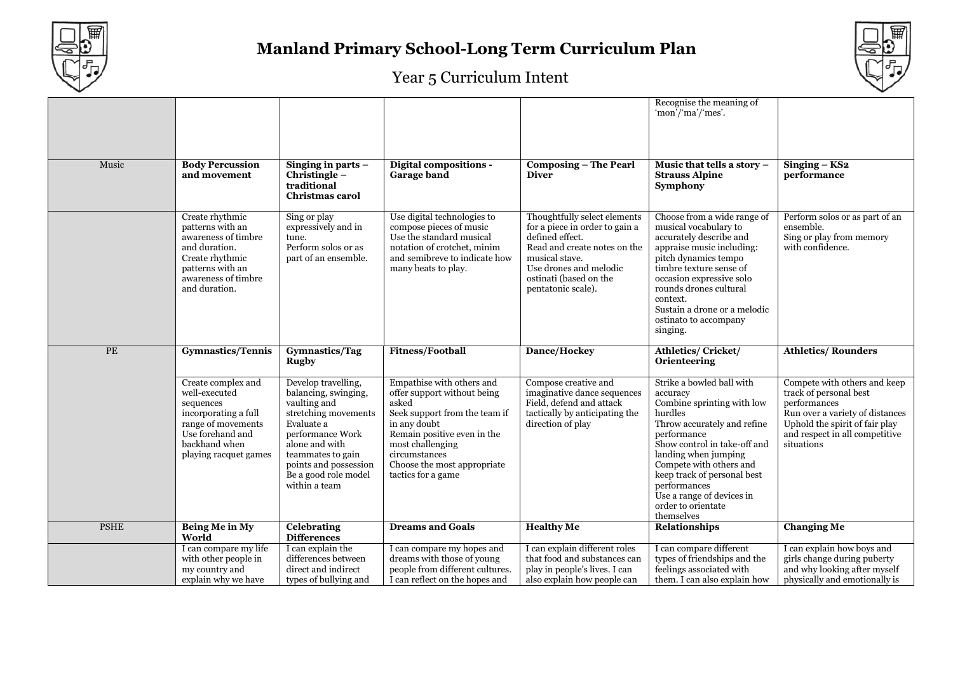



|             |                                                                                                                                                              |                                                                                                                                                                                                                                |                                                                                                                                                                                                                                             |                                                                                                                                                                                                               | Recognise the meaning of<br>'mon'/'ma'/'mes'.                                                                                                                                                                                                                                                                                   |                                                                                                                                                                                             |
|-------------|--------------------------------------------------------------------------------------------------------------------------------------------------------------|--------------------------------------------------------------------------------------------------------------------------------------------------------------------------------------------------------------------------------|---------------------------------------------------------------------------------------------------------------------------------------------------------------------------------------------------------------------------------------------|---------------------------------------------------------------------------------------------------------------------------------------------------------------------------------------------------------------|---------------------------------------------------------------------------------------------------------------------------------------------------------------------------------------------------------------------------------------------------------------------------------------------------------------------------------|---------------------------------------------------------------------------------------------------------------------------------------------------------------------------------------------|
| Music       | <b>Body Percussion</b><br>and movement                                                                                                                       | Singing in parts $-$<br>Christingle-<br>traditional<br><b>Christmas carol</b>                                                                                                                                                  | <b>Digital compositions -</b><br><b>Garage band</b>                                                                                                                                                                                         | <b>Composing - The Pearl</b><br><b>Diver</b>                                                                                                                                                                  | Music that tells a story -<br><b>Strauss Alpine</b><br><b>Symphony</b>                                                                                                                                                                                                                                                          | $Singing - KS2$<br>performance                                                                                                                                                              |
|             | Create rhythmic<br>patterns with an<br>awareness of timbre<br>and duration.<br>Create rhythmic<br>patterns with an<br>awareness of timbre<br>and duration.   | Sing or play<br>expressively and in<br>tune.<br>Perform solos or as<br>part of an ensemble.                                                                                                                                    | Use digital technologies to<br>compose pieces of music<br>Use the standard musical<br>notation of crotchet, minim<br>and semibreve to indicate how<br>many beats to play.                                                                   | Thoughtfully select elements<br>for a piece in order to gain a<br>defined effect.<br>Read and create notes on the<br>musical stave.<br>Use drones and melodic<br>ostinati (based on the<br>pentatonic scale). | Choose from a wide range of<br>musical vocabulary to<br>accurately describe and<br>appraise music including:<br>pitch dynamics tempo<br>timbre texture sense of<br>occasion expressive solo<br>rounds drones cultural<br>context.<br>Sustain a drone or a melodic<br>ostinato to accompany<br>singing.                          | Perform solos or as part of an<br>ensemble.<br>Sing or play from memory<br>with confidence.                                                                                                 |
| PE          | <b>Gymnastics/Tennis</b>                                                                                                                                     | Gymnastics/Tag<br><b>Rugby</b>                                                                                                                                                                                                 | <b>Fitness/Football</b>                                                                                                                                                                                                                     | Dance/Hockey                                                                                                                                                                                                  | Athletics/Cricket/<br>Orienteering                                                                                                                                                                                                                                                                                              | <b>Athletics/Rounders</b>                                                                                                                                                                   |
|             | Create complex and<br>well-executed<br>sequences<br>incorporating a full<br>range of movements<br>Use forehand and<br>backhand when<br>playing racquet games | Develop travelling,<br>balancing, swinging,<br>vaulting and<br>stretching movements<br>Evaluate a<br>performance Work<br>alone and with<br>teammates to gain<br>points and possession<br>Be a good role model<br>within a team | Empathise with others and<br>offer support without being<br>asked<br>Seek support from the team if<br>in any doubt<br>Remain positive even in the<br>most challenging<br>circumstances<br>Choose the most appropriate<br>tactics for a game | Compose creative and<br>imaginative dance sequences<br>Field, defend and attack<br>tactically by anticipating the<br>direction of play                                                                        | Strike a bowled ball with<br>accuracy<br>Combine sprinting with low<br>hurdles<br>Throw accurately and refine<br>performance<br>Show control in take-off and<br>landing when jumping<br>Compete with others and<br>keep track of personal best<br>performances<br>Use a range of devices in<br>order to orientate<br>themselves | Compete with others and keep<br>track of personal best<br>performances<br>Run over a variety of distances<br>Uphold the spirit of fair play<br>and respect in all competitive<br>situations |
| <b>PSHE</b> | <b>Being Me in My</b><br>World                                                                                                                               | <b>Celebrating</b><br><b>Differences</b>                                                                                                                                                                                       | <b>Dreams and Goals</b>                                                                                                                                                                                                                     | <b>Healthy Me</b>                                                                                                                                                                                             | <b>Relationships</b>                                                                                                                                                                                                                                                                                                            | <b>Changing Me</b>                                                                                                                                                                          |
|             | I can compare my life<br>with other people in                                                                                                                | I can explain the<br>differences between                                                                                                                                                                                       | I can compare my hopes and<br>dreams with those of young                                                                                                                                                                                    | I can explain different roles<br>that food and substances can                                                                                                                                                 | I can compare different<br>types of friendships and the                                                                                                                                                                                                                                                                         | I can explain how boys and<br>girls change during puberty                                                                                                                                   |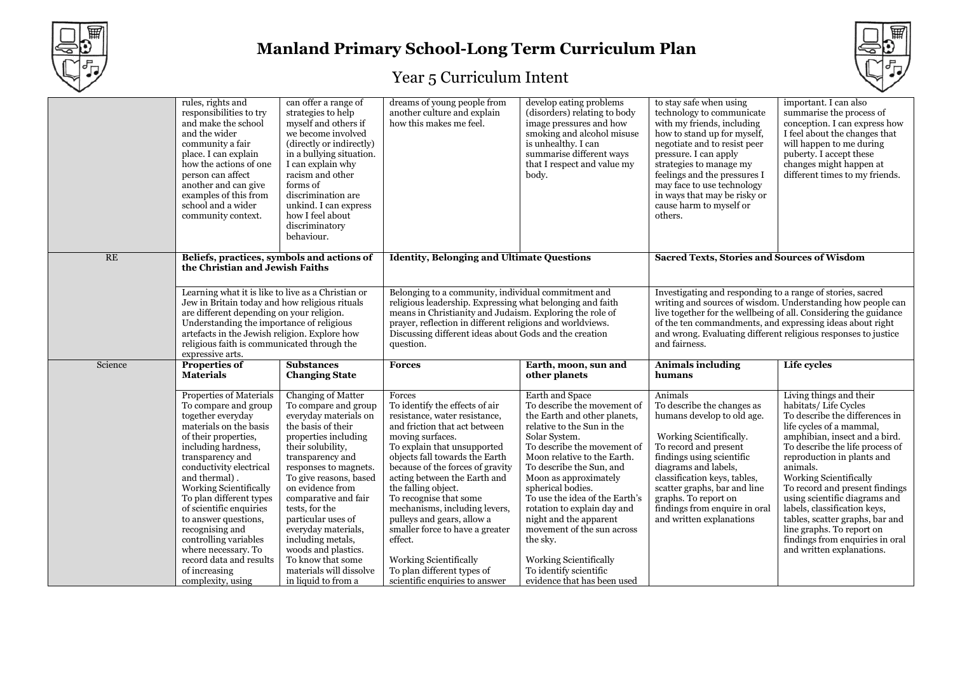



|         | rules, rights and<br>responsibilities to try<br>and make the school<br>and the wider<br>community a fair<br>place. I can explain<br>how the actions of one<br>person can affect<br>another and can give<br>examples of this from<br>school and a wider<br>community context.                                                                                                                                                                                     | can offer a range of<br>strategies to help<br>myself and others if<br>we become involved<br>(directly or indirectly)<br>in a bullying situation.<br>I can explain why<br>racism and other<br>forms of<br>discrimination are<br>unkind. I can express<br>how I feel about<br>discriminatory<br>behaviour.                                                                                                                                    | dreams of young people from<br>another culture and explain<br>how this makes me feel.                                                                                                                                                                                                                                                                                                                                                                                                                                       | develop eating problems<br>(disorders) relating to body<br>image pressures and how<br>smoking and alcohol misuse<br>is unhealthy. I can<br>summarise different ways<br>that I respect and value my<br>body.                                                                                                                                                                                                                                                                                   | to stay safe when using<br>technology to communicate<br>with my friends, including<br>how to stand up for myself,<br>negotiate and to resist peer<br>pressure. I can apply<br>strategies to manage my<br>feelings and the pressures I<br>may face to use technology<br>in ways that may be risky or<br>cause harm to myself or<br>others.     | important. I can also<br>summarise the process of<br>conception. I can express how<br>I feel about the changes that<br>will happen to me during<br>puberty. I accept these<br>changes might happen at<br>different times to my friends.                                                                                                                                                                                                                                                  |
|---------|------------------------------------------------------------------------------------------------------------------------------------------------------------------------------------------------------------------------------------------------------------------------------------------------------------------------------------------------------------------------------------------------------------------------------------------------------------------|---------------------------------------------------------------------------------------------------------------------------------------------------------------------------------------------------------------------------------------------------------------------------------------------------------------------------------------------------------------------------------------------------------------------------------------------|-----------------------------------------------------------------------------------------------------------------------------------------------------------------------------------------------------------------------------------------------------------------------------------------------------------------------------------------------------------------------------------------------------------------------------------------------------------------------------------------------------------------------------|-----------------------------------------------------------------------------------------------------------------------------------------------------------------------------------------------------------------------------------------------------------------------------------------------------------------------------------------------------------------------------------------------------------------------------------------------------------------------------------------------|-----------------------------------------------------------------------------------------------------------------------------------------------------------------------------------------------------------------------------------------------------------------------------------------------------------------------------------------------|------------------------------------------------------------------------------------------------------------------------------------------------------------------------------------------------------------------------------------------------------------------------------------------------------------------------------------------------------------------------------------------------------------------------------------------------------------------------------------------|
|         | RE<br>Beliefs, practices, symbols and actions of<br>the Christian and Jewish Faiths<br>Learning what it is like to live as a Christian or<br>Jew in Britain today and how religious rituals<br>are different depending on your religion.<br>Understanding the importance of religious<br>artefacts in the Jewish religion. Explore how<br>religious faith is communicated through the<br>expressive arts.                                                        |                                                                                                                                                                                                                                                                                                                                                                                                                                             | <b>Identity, Belonging and Ultimate Questions</b>                                                                                                                                                                                                                                                                                                                                                                                                                                                                           |                                                                                                                                                                                                                                                                                                                                                                                                                                                                                               | <b>Sacred Texts, Stories and Sources of Wisdom</b>                                                                                                                                                                                                                                                                                            |                                                                                                                                                                                                                                                                                                                                                                                                                                                                                          |
|         |                                                                                                                                                                                                                                                                                                                                                                                                                                                                  |                                                                                                                                                                                                                                                                                                                                                                                                                                             | Belonging to a community, individual commitment and<br>religious leadership. Expressing what belonging and faith<br>means in Christianity and Judaism. Exploring the role of<br>prayer, reflection in different religions and worldviews.<br>Discussing different ideas about Gods and the creation<br>question.                                                                                                                                                                                                            |                                                                                                                                                                                                                                                                                                                                                                                                                                                                                               | Investigating and responding to a range of stories, sacred<br>writing and sources of wisdom. Understanding how people can<br>live together for the wellbeing of all. Considering the guidance<br>of the ten commandments, and expressing ideas about right<br>and wrong. Evaluating different religious responses to justice<br>and fairness. |                                                                                                                                                                                                                                                                                                                                                                                                                                                                                          |
| Science | Properties of<br><b>Materials</b>                                                                                                                                                                                                                                                                                                                                                                                                                                | <b>Substances</b><br><b>Changing State</b>                                                                                                                                                                                                                                                                                                                                                                                                  | <b>Forces</b>                                                                                                                                                                                                                                                                                                                                                                                                                                                                                                               | Earth, moon, sun and<br>other planets                                                                                                                                                                                                                                                                                                                                                                                                                                                         | <b>Animals including</b><br>humans                                                                                                                                                                                                                                                                                                            | Life cycles                                                                                                                                                                                                                                                                                                                                                                                                                                                                              |
|         | <b>Properties of Materials</b><br>To compare and group<br>together everyday<br>materials on the basis<br>of their properties,<br>including hardness,<br>transparency and<br>conductivity electrical<br>and thermal).<br>Working Scientifically<br>To plan different types<br>of scientific enquiries<br>to answer questions,<br>recognising and<br>controlling variables<br>where necessary. To<br>record data and results<br>of increasing<br>complexity, using | Changing of Matter<br>To compare and group<br>everyday materials on<br>the basis of their<br>properties including<br>their solubility,<br>transparency and<br>responses to magnets.<br>To give reasons, based<br>on evidence from<br>comparative and fair<br>tests, for the<br>particular uses of<br>everyday materials,<br>including metals,<br>woods and plastics.<br>To know that some<br>materials will dissolve<br>in liquid to from a | Forces<br>To identify the effects of air<br>resistance, water resistance,<br>and friction that act between<br>moving surfaces.<br>To explain that unsupported<br>objects fall towards the Earth<br>because of the forces of gravity<br>acting between the Earth and<br>the falling object.<br>To recognise that some<br>mechanisms, including levers,<br>pulleys and gears, allow a<br>smaller force to have a greater<br>effect.<br>Working Scientifically<br>To plan different types of<br>scientific enquiries to answer | Earth and Space<br>To describe the movement of<br>the Earth and other planets,<br>relative to the Sun in the<br>Solar System.<br>To describe the movement of<br>Moon relative to the Earth.<br>To describe the Sun, and<br>Moon as approximately<br>spherical bodies.<br>To use the idea of the Earth's<br>rotation to explain day and<br>night and the apparent<br>movement of the sun across<br>the sky.<br>Working Scientifically<br>To identify scientific<br>evidence that has been used | Animals<br>To describe the changes as<br>humans develop to old age.<br>Working Scientifically.<br>To record and present<br>findings using scientific<br>diagrams and labels,<br>classification keys, tables,<br>scatter graphs, bar and line<br>graphs. To report on<br>findings from enquire in oral<br>and written explanations             | Living things and their<br>habitats/Life Cycles<br>To describe the differences in<br>life cycles of a mammal,<br>amphibian, insect and a bird.<br>To describe the life process of<br>reproduction in plants and<br>animals.<br>Working Scientifically<br>To record and present findings<br>using scientific diagrams and<br>labels, classification keys,<br>tables, scatter graphs, bar and<br>line graphs. To report on<br>findings from enquiries in oral<br>and written explanations. |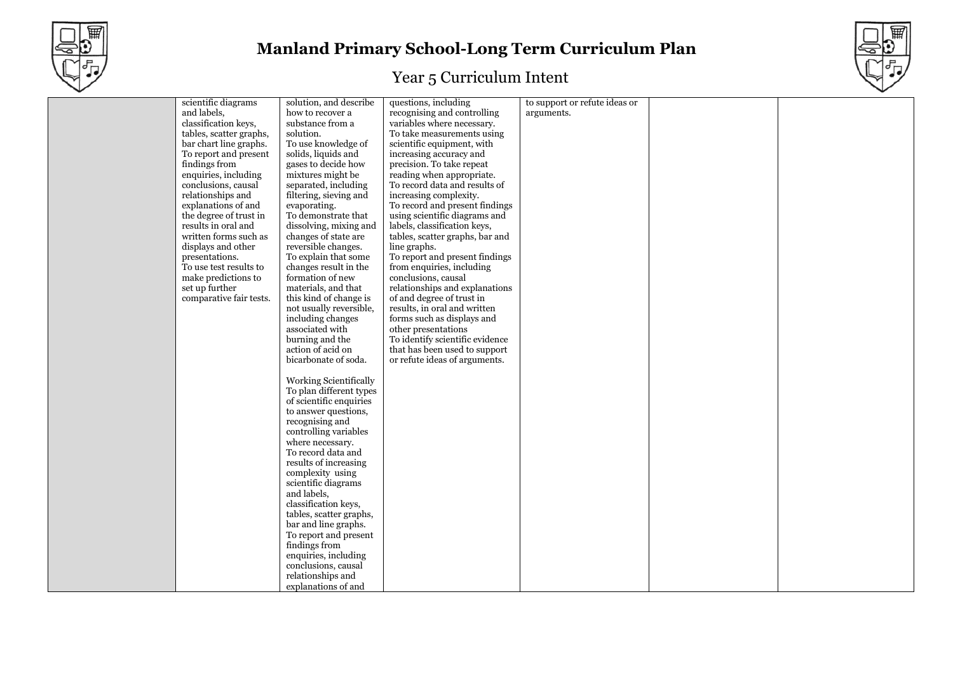



| scientific diagrams     | solution, and describe        | questions, including            | to support or refute ideas or |  |
|-------------------------|-------------------------------|---------------------------------|-------------------------------|--|
| and labels,             | how to recover a              | recognising and controlling     | arguments.                    |  |
| classification keys,    | substance from a              | variables where necessary.      |                               |  |
| tables, scatter graphs, | solution.                     | To take measurements using      |                               |  |
| bar chart line graphs.  | To use knowledge of           | scientific equipment, with      |                               |  |
| To report and present   | solids, liquids and           | increasing accuracy and         |                               |  |
| findings from           | gases to decide how           | precision. To take repeat       |                               |  |
| enquiries, including    | mixtures might be             | reading when appropriate.       |                               |  |
| conclusions, causal     | separated, including          | To record data and results of   |                               |  |
| relationships and       | filtering, sieving and        | increasing complexity.          |                               |  |
| explanations of and     | evaporating.                  | To record and present findings  |                               |  |
| the degree of trust in  | To demonstrate that           | using scientific diagrams and   |                               |  |
| results in oral and     | dissolving, mixing and        | labels, classification keys,    |                               |  |
| written forms such as   | changes of state are          | tables, scatter graphs, bar and |                               |  |
| displays and other      | reversible changes.           | line graphs.                    |                               |  |
| presentations.          | To explain that some          | To report and present findings  |                               |  |
| To use test results to  | changes result in the         | from enquiries, including       |                               |  |
| make predictions to     | formation of new              | conclusions, causal             |                               |  |
| set up further          | materials, and that           | relationships and explanations  |                               |  |
| comparative fair tests. | this kind of change is        | of and degree of trust in       |                               |  |
|                         | not usually reversible,       | results, in oral and written    |                               |  |
|                         | including changes             | forms such as displays and      |                               |  |
|                         | associated with               | other presentations             |                               |  |
|                         | burning and the               | To identify scientific evidence |                               |  |
|                         | action of acid on             | that has been used to support   |                               |  |
|                         | bicarbonate of soda.          | or refute ideas of arguments.   |                               |  |
|                         |                               |                                 |                               |  |
|                         | <b>Working Scientifically</b> |                                 |                               |  |
|                         | To plan different types       |                                 |                               |  |
|                         | of scientific enquiries       |                                 |                               |  |
|                         | to answer questions,          |                                 |                               |  |
|                         | recognising and               |                                 |                               |  |
|                         | controlling variables         |                                 |                               |  |
|                         | where necessary.              |                                 |                               |  |
|                         | To record data and            |                                 |                               |  |
|                         | results of increasing         |                                 |                               |  |
|                         | complexity using              |                                 |                               |  |
|                         | scientific diagrams           |                                 |                               |  |
|                         | and labels,                   |                                 |                               |  |
|                         | classification keys,          |                                 |                               |  |
|                         | tables, scatter graphs,       |                                 |                               |  |
|                         | bar and line graphs.          |                                 |                               |  |
|                         | To report and present         |                                 |                               |  |
|                         | findings from                 |                                 |                               |  |
|                         | enquiries, including          |                                 |                               |  |
|                         | conclusions, causal           |                                 |                               |  |
|                         | relationships and             |                                 |                               |  |
|                         | explanations of and           |                                 |                               |  |